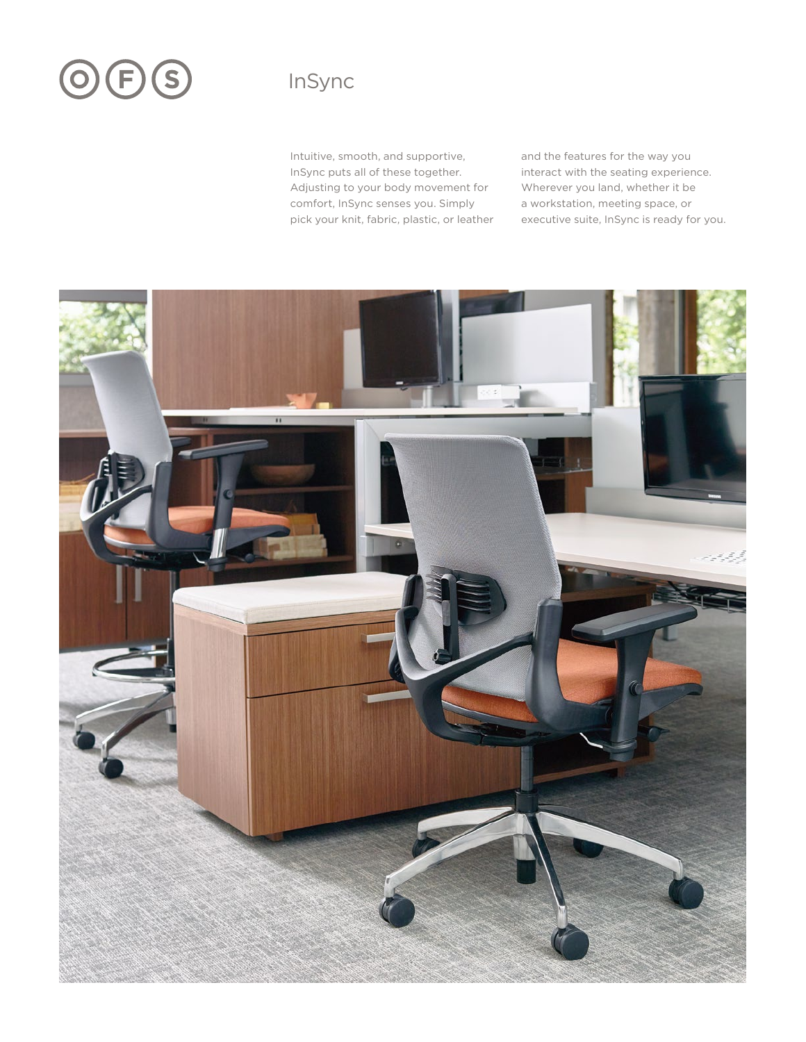# OES

# InSync

Intuitive, smooth, and supportive, InSync puts all of these together. Adjusting to your body movement for comfort, InSync senses you. Simply pick your knit, fabric, plastic, or leather and the features for the way you interact with the seating experience. Wherever you land, whether it be a workstation, meeting space, or executive suite, InSync is ready for you.